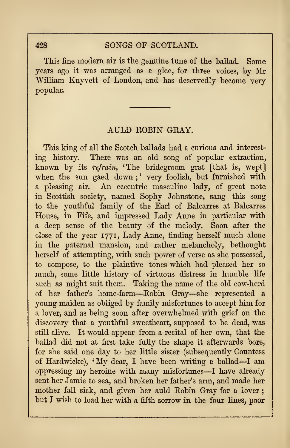## AULD ROBIN GRAY.

This king of all the Scotch ballads had a curious and interest ing history. There was an old song of popular extraction, known by its refrain, 'The bridegroom grat [that is, wept] when the sun gaed down;' very foolish, but furnished with <sup>a</sup> pleasing air. An eccentric masculine lady, of great note in Scottish society, named Sophy Johnstone, sang this song to the youthful family of the Earl of Balcarres at Balcarres House, in Fife, and impressed Lady Anne in particular with a deep sense of the beauty of the melody. Soon after the close of the year 1771, Lady Anne, finding herself much alone in the paternal mansion, and rather melancholy, bethought herself of attempting, with such power of verse as she possessed, to compose, to the plaintive tones which had pleased her so much, some little history of virtuous distress in humble life such as might suit them. Taking the name of the old cow-herd of her father's home-farm—Robin Gray—she represented <sup>a</sup> young maiden as obliged by family misfortunes to accept him for a lover, and as being soon after overwhelmed with grief on the discovery that a youthful sweetheart, supposed to be dead, was still alive. It would appear from a recital of her own, that the ballad did not at first take fully the shape it afterwards bore, for she said one day to her little sister (subsequently Countess of Hardwicke), 'My dear, <sup>I</sup> have been writing <sup>a</sup> ballad—<sup>I</sup> am oppressing my heroine with many misfortunes—<sup>I</sup> have already sent her Jamie to sea, and broken her father's arm, and made her mother fall sick, and given her auld Robin Gray for a lover but I wish to load her with a fifth sorrow in the four lines, poor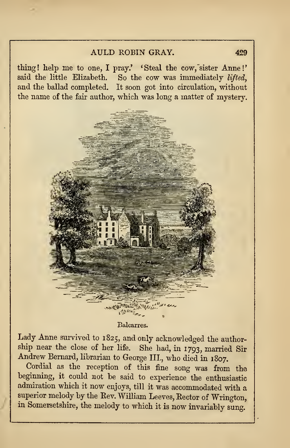### AULD ROBIN GRAY. 429

thing! help me to one, I pray.' 'Steal the cow, sister Anne!' said the little Elizabeth. So the cow was immediately lifted, and the ballad completed. It soon got into circulation, without the name of the fair author, which was long a matter of mystery.



#### Balcarres.

Lady Anne survived to 1825, and only acknowledged the author-<br>ship near the close of her life. She had, in 1793, married Sir Andrew Bernard, librarian to George III., who died in 1807.

Cordial as the reception of this fine song was from the beginning, it could not be said to experience the enthusiastic admiration which it now enjoys, till it was accommodated with <sup>a</sup> superior melody by the Eev. William Leeves, Rector of Wrington, in Somersetshire, the melody to which it is now invariably sung.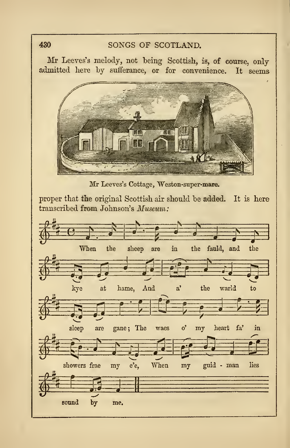# 430 SONGS OF SCOTLAND.

Mr Leeves's melody, not being Scottish, is, of course, only admitted here hy sufferance, or for convenience. It seems



Mr Leeves's Cottage, Weston-super-mare.

proper that the original Scottish air should be added. It is here transcribed from Johnson's Museum:

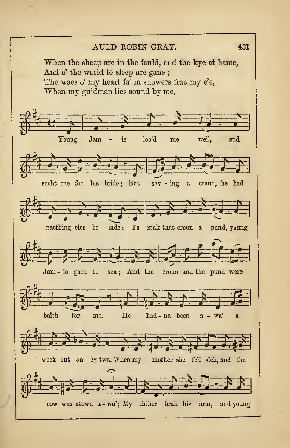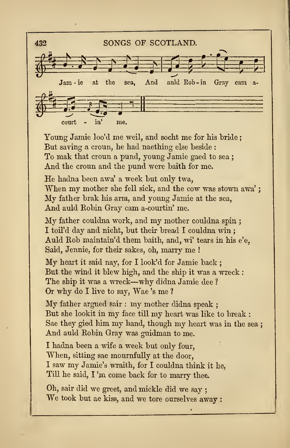

Young Jamie loo'd me weil, and socht me for his bride ; But saving a croun, he had naething else beside : To mak that croun a pund, young Jamie gaed to sea ; And the croun and the pund were baith for me.

He hadna been awa' <sup>a</sup> week but only twa, When my mother she fell sick, and the cow was stown awa'; My father brak his arm, and young Jamie at the sea, And auld Robin Gray cam a-courtin' me.

My father couldna work, and my mother couldna spin ; I toil'd day and nicht, but their bread I couldna win ; Auld Eob maintain'd them baith, and, wi' tears in his e'e, Said, Jennie, for their sakes, oh, marry me !

My heart it said nay, for <sup>I</sup> look'd for Jamie back ; But the wind it blew high, and the ship it was a wreck : The ship it was <sup>a</sup> wreck—why didna Jamie dee ? Or why do <sup>I</sup> live to say, Wae 's me ?

My father argued sair : my mother didna speak ; But she lookit in my face till my heart was like to break : Sae they gied him my hand, though my heart was in the sea ; And auld Robin Gray was guidman to me.

I hadna been a wife a week but only four, When, sitting sae mournfully at the door, <sup>I</sup> saw my Jamie's wraith, for <sup>I</sup> couldna think it he, Till he said, I 'm come back for to marry thee.

Oh, sair did we greet, and mickle did we say ; We took but ae kiss, and we tore ourselves away :